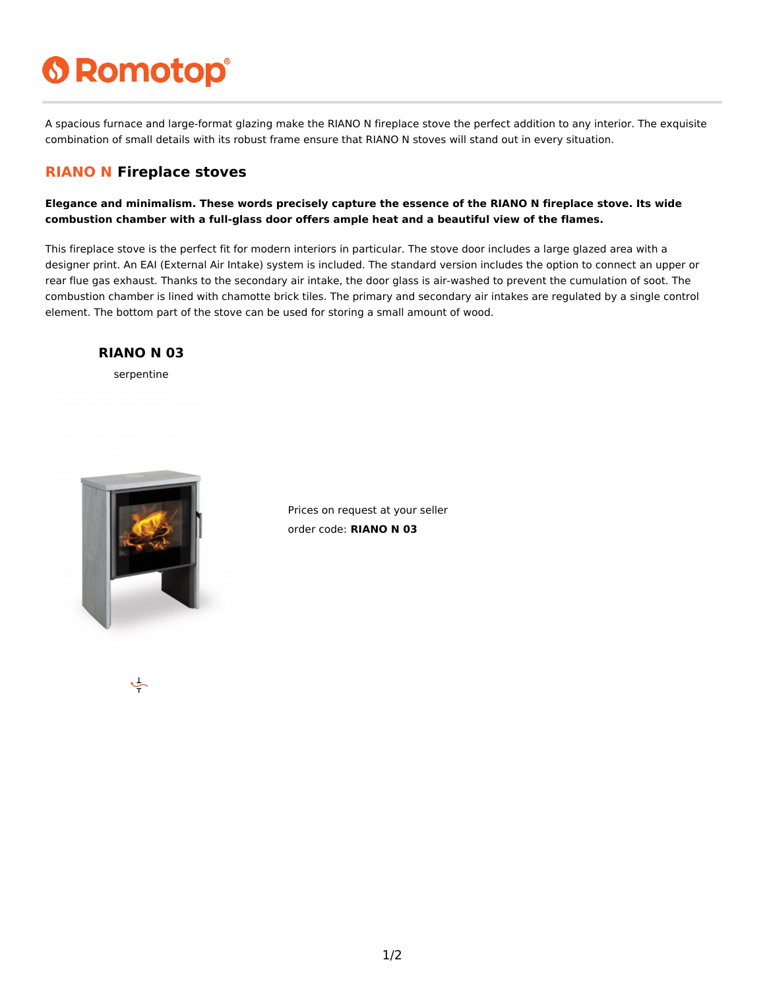# **6 Romotop®**

A spacious furnace and large-format glazing make the RIANO N fireplace stove the perfect addition to any interior. The exquisite combination of small details with its robust frame ensure that RIANO N stoves will stand out in every situation.

#### **RIANO N Fireplace stoves**

**Elegance and minimalism. These words precisely capture the essence of the RIANO N fireplace stove. Its wide combustion chamber with a full-glass door offers ample heat and a beautiful view of the flames.**

This fireplace stove is the perfect fit for modern interiors in particular. The stove door includes a large glazed area with a designer print. An EAI (External Air Intake) system is included. The standard version includes the option to connect an upper or rear flue gas exhaust. Thanks to the secondary air intake, the door glass is air-washed to prevent the cumulation of soot. The combustion chamber is lined with chamotte brick tiles. The primary and secondary air intakes are regulated by a single control element. The bottom part of the stove can be used for storing a small amount of wood.

#### **RIANO N 03**

serpentine



Prices on request at your seller order code: **RIANO N 03**